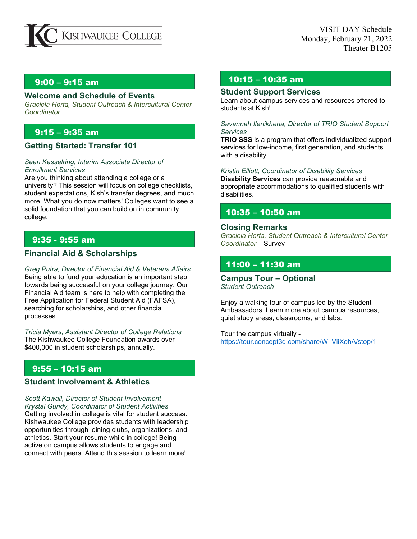

### **Welcome and Schedule of Events**

*Graciela Horta, Student Outreach & Intercultural Center Coordinator*

# 9:15 – 9:35 am

## **Getting Started: Transfer 101**

#### *Sean Kesselring, Interim Associate Director of Enrollment Services*

Are you thinking about attending a college or a university? This session will focus on college checklists, student expectations, Kish's transfer degrees, and much more. What you do now matters! Colleges want to see a solid foundation that you can build on in community college.

# 9:35 - 9:55 am

# **Financial Aid & Scholarships**

*Greg Putra, Director of Financial Aid & Veterans Affairs* Being able to fund your education is an important step towards being successful on your college journey. Our Financial Aid team is here to help with completing the Free Application for Federal Student Aid (FAFSA), searching for scholarships, and other financial processes.

*Tricia Myers, Assistant Director of College Relations* The Kishwaukee College Foundation awards over \$400,000 in student scholarships, annually.

# 9:55 – 10:15 am

## **Student Involvement & Athletics**

*Scott Kawall, Director of Student Involvement Krystal Gundy, Coordinator of Student Activities*  Getting involved in college is vital for student success. Kishwaukee College provides students with leadership opportunities through joining clubs, organizations, and athletics. Start your resume while in college! Being active on campus allows students to engage and connect with peers. Attend this session to learn more!

# 9:00 – 9:15 am 10:15 – 10:35 am

#### **Student Support Services**

Learn about campus services and resources offered to students at Kish!

#### *Savannah Ilenikhena, Director of TRIO Student Support Services*

**TRIO SSS** is a program that offers individualized support services for low-income, first generation, and students with a disability.

#### *Kristin Elliott, Coordinator of Disability Services*

**Disability Services** can provide reasonable and appropriate accommodations to qualified students with disabilities.

# 10:35 – 10:50 am

#### **Closing Remarks**

*Graciela Horta, Student Outreach & Intercultural Center Coordinator* – Survey

# 11:00 – 11:30 am

**Campus Tour – Optional** *Student Outreach*

Enjoy a walking tour of campus led by the Student Ambassadors. Learn more about campus resources, quiet study areas, classrooms, and labs.

Tour the campus virtually [https://tour.concept3d.com/share/W\\_ViiXohA/stop/1](https://tour.concept3d.com/share/W_ViiXohA/stop/1)